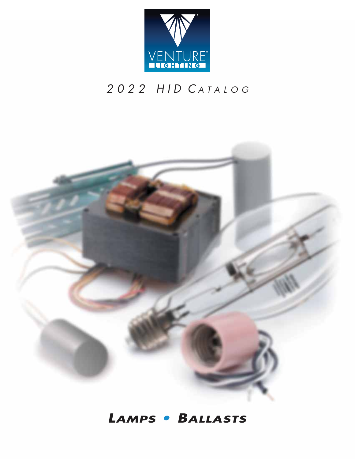

# 2022 HID CATALOG



## *LAMPS • BALLASTS*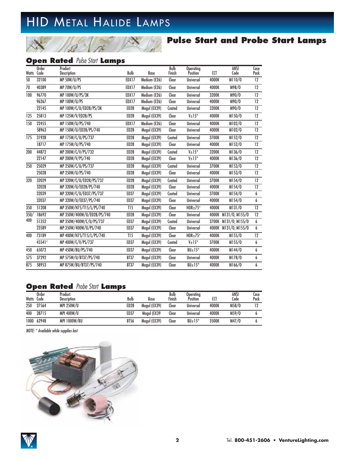# HID METAL HALIDE LAMPS

### **Pulse Start and Probe Start Lamps**

### **Open Rated Pulse Start Lamps**

|            | <b>Order</b> | Product                    |                  |              | <b>Bulb</b> | <b>Operating</b>    |       | ANSI                 | Case            |
|------------|--------------|----------------------------|------------------|--------------|-------------|---------------------|-------|----------------------|-----------------|
| Watts Code |              | <b>Description</b>         | <b>Bulb</b>      | <b>Base</b>  | Finish      | Position            | CCT   | Code                 | Pack            |
| 50         | 32100        | <b>MP 50W/U/PS</b>         | <b>EDX17</b>     | Medium (E26) | Clear       | <b>Universal</b>    | 4000K | M110/0               | 12              |
| 70         | 40389        | MP 70W/U/PS                | EDX17            | Medium (E26) | Clear       | <b>Universal</b>    | 4000K | M98/0                | 12              |
| 100        | 96770        | MP 100W/U/PS/3K            | <b>EDX17</b>     | Medium (E26) | Clear       | <b>Universal</b>    | 3200K | M90/0                | 12              |
|            | 96267        | <b>MP 100W/U/PS</b>        | <b>EDX17</b>     | Medium (E26) | Clear       | <b>Universal</b>    | 4000K | M90/0                | 12              |
|            | 22145        | MP 100W/C/U/ED28/PS/3K     | <b>ED28</b>      | Mogul (EX39) | Coated      | <b>Universal</b>    | 3200K | M90/0                | 12              |
| 125        | 25813        | MP 125W/V/ED28/PS          | <b>ED28</b>      | Mogul (EX39) | Clear       | $V_{\pm}$ 15°       | 4000K | M150/0               | 12              |
| 150        | 22455        | MP 150W/U/PS/740           | <b>EDX17</b>     | Medium (E26) | Clear       | <b>Universal</b>    | 4000K | M102/0               | 12              |
|            | 58963        | MP 150W/U/ED28/PS/740      | <b>ED28</b>      | Mogul (EX39) | Clear       | <b>Universal</b>    | 4000K | M102/0               | 12              |
| 175        | 31928        | MP 175W/C/U/PS/737         | <b>ED28</b>      | Mogul (EX39) | Coated      | <b>Universal</b>    | 3700K | M152/0               | 12              |
|            | 18717        | MP 175W/U/PS/740           | <b>ED28</b>      | Mogul (EX39) | Clear       | <b>Universal</b>    | 4000K | M152/0               | 12              |
| 200        | 44872        | MP 200W/C/V/PS/732         | <b>ED28</b>      | Mogul (EX39) | Coated      | $V_{\pm}15^{\circ}$ | 3200K | M136/0               | 12              |
|            | 22147        | MP 200W/V/PS/740           | <b>ED28</b>      | Mogul (EX39) | Clear       | $V_{\pm}$ 15°       | 4000K | M136/0               | 12              |
| 250        | 25029        | MP 250W/C/U/PS/737         | <b>ED28</b>      | Mogul (EX39) | Coated      | <b>Universal</b>    | 3700K | M153/0               | $\overline{12}$ |
|            | 25028        | MP 250W/U/PS/740           | <b>ED28</b>      | Mogul (EX39) | Clear       | <b>Universal</b>    | 4000K | M153/0               | 12              |
| 320        | 32029        | MP 320W/C/U/ED28/PS/737    | ED <sub>28</sub> | Mogul (EX39) | Coated      | <b>Universal</b>    | 3700K | M154/0               | 12              |
|            | 32028        | MP 320W/U/ED28/PS/740      | <b>ED28</b>      | Mogul (EX39) | Clear       | <b>Universal</b>    | 4000K | M154/0               | 12              |
|            | 32039        | MP 320W/C/U/ED37/PS/737    | <b>ED37</b>      | Mogul (EX39) | Coated      | <b>Universal</b>    | 3700K | M154/0               | 6               |
|            | 32037        | MP 320W/U/ED37/PS/740      | ED37             | Mogul (EX39) | Clear       | <b>Universal</b>    | 4000K | M154/0               | 6               |
| 350        | 51208        | MP 350W/H75/T15/L/PS/740   | TI <sub>5</sub>  | Mogul (EX39) | Clear       | $HOR±75^\circ$      | 4000K | M131/0               | $\overline{12}$ |
| 350/       | 18692        | MP 350W/400W/U/ED28/PS/740 | ED <sub>28</sub> | Mogul (EX39) | Clear       | <b>Universal</b>    |       | 4000K M131/0, M155/0 | 12              |
| 400        | 51352        | MP 350W/400W/C/U/PS/737    | <b>ED37</b>      | Mogul (EX39) | Coated      | <b>Universal</b>    |       | 3700K M131/0. M155/0 | 6               |
|            | 23589        | MP 350W/400W/U/PS/740      | <b>ED37</b>      | Mogul (EX39) | Clear       | <b>Universal</b>    |       | 4000K M131/0, M155/0 | 6               |
| 400        | 73189        | MP 400W/H75/T15/L/PS/740   | TI <sub>5</sub>  | Mogul (EX39) | Clear       | $HOR±75^\circ$      | 4000K | M155/0               | 12              |
|            | 45541*       | MP 400W/C/V/PS/737         | <b>ED37</b>      | Mogul (EX39) | Coated      | $V_{\pm}$ 15°       | 3700K | M155/0               | 6               |
| 450        | 65072        | MP 450W/BU/PS/740          | ED37             | Mogul (EX39) | Clear       | $BU±15^\circ$       | 4000K | M144/0               | 6               |
| 575        | 37292        | MP 575W/U/BT37/PS/740      | <b>BT37</b>      | Mogul (EX39) | Clear       | <b>Universal</b>    | 4000K | M178/0               | 6               |
| 875        | 58953        | MP 875W/BU/BT37/PS/740     | <b>BT37</b>      | Mogul (EX39) | Clear       | $BU±15^\circ$       | 4000K | M166/0               | 6               |
|            |              |                            |                  |              |             |                     |       |                      |                 |

### **Open Rated Probe Start Lamps**

| Watts | <b>Order</b><br>Code | Product<br><b>Description</b> | Bulb             | Base         | Bulb<br>Finish | <b>Operatina</b><br>Position | CCT   | ANSI<br>Code | Case<br>Pack |
|-------|----------------------|-------------------------------|------------------|--------------|----------------|------------------------------|-------|--------------|--------------|
| 250   | 27564                | <b>MPI 250W/U</b>             | ED <sub>28</sub> | Moaul (EX39) | Clear          | Universal                    | 4000K | M58/0        | ה ד          |
| 400   | 28715                | MPI 400W/U                    | <b>ED37</b>      | Mogul (EX39  | Clear          | Universal                    | 4000K | M59/0        |              |
| 1000  | 62948                | <b>MPI 1000W/BU</b>           | <b>BT56</b>      | Moaul (EX39) | Clear          | $BU±15^\circ$                | 3500K | M47/0        |              |

NOTE: \* Available while supplies last

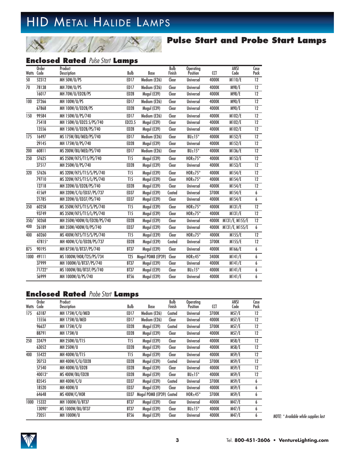# HID METAL HALIDE LAMPS

### **Pulse Start and Probe Start Lamps**

### **Enclosed Rated Pulse Start Lamps**

|            | <b>Order</b> | Product                    |                  |                   | <b>Bulb</b> | <b>Operating</b>     |            | <b>ANSI</b>          | Case            |
|------------|--------------|----------------------------|------------------|-------------------|-------------|----------------------|------------|----------------------|-----------------|
| Watts Code |              | <b>Description</b>         | Bulb             | Base              | Finish      | Position             | <b>CCT</b> | Code                 | Pack            |
| 50         | 52312        | <b>MH 50W/U/PS</b>         | ED17             | Medium (E26)      | Clear       | <b>Universal</b>     | 4000K      | M110/E               | 12              |
| 70         | 78138        | MH 70W/U/PS                | ED17             | Medium (E26)      | Clear       | <b>Universal</b>     | 4000K      | M98/E                | 12              |
|            | 16017        | MH 70W/U/ED28/PS           | <b>ED28</b>      | Mogul (E39)       | Clear       | <b>Universal</b>     | 4000K      | M98/E                | 12              |
| 100        | 27266        | <b>MH 100W/U/PS</b>        | ED17             | Medium (E26)      | Clear       | <b>Universal</b>     | 4000K      | M90/E                | $\overline{12}$ |
|            | 67868        | MH 100W/U/ED28/PS          | ED <sub>28</sub> | Mogul (E39)       | Clear       | <b>Universal</b>     | 4000K      | M90/E                | 12              |
| 150        | 99584        | MH 150W/U/PS/740           | <b>ED17</b>      | Medium (E26)      | Clear       | <b>Universal</b>     | 4000K      | M102/E               | 12              |
|            | 75418        | MH 150W/U/ED23.5/PS/740    | ED23.5           | Mogul (E39)       | Clear       | <b>Universal</b>     | 4000K      | M102/E               | 12              |
|            | 13556        | MH 150W/U/ED28/PS/740      | ED <sub>28</sub> | Mogul (E39)       | Clear       | <b>Universal</b>     | 4000K      | M102/E               | 12              |
| 175        | 16497        | MS 175W/BU/MED/PS/740      | <b>ED17</b>      | Medium (E26)      | Clear       | $BU±15^\circ$        | 4000K      | M152/E               | 12              |
|            | 29145        | MH 175W/U/PS/740           | <b>ED28</b>      | Mogul (E39)       | Clear       | <b>Universal</b>     | 4000K      | M152/E               | 12              |
| 200        | 60811        | MS 200W/BU/MED/PS/740      | ED17             | Medium (E26)      | Clear       | $BU±15^{\circ}$      | 4000K      | M136/E               | 12              |
| 250        | 57625        | MS 250W/H75/T15/PS/740     | TI <sub>5</sub>  | Mogul (E39)       | Clear       | $HOR{\pm}75^\circ$   | 4000K      | M153/E               | $\overline{12}$ |
|            | 37517        | MH 250W/U/PS/740           | <b>ED28</b>      | Mogul (E39)       | Clear       | <b>Universal</b>     | 4000K      | M153/E               | 12              |
| 320        | 57626        | MS 320W/H75/T15/S/PS/740   | TI <sub>5</sub>  | Mogul (E39)       | Clear       | $HOR±75^\circ$       | 4000K      | M154/E               | 12              |
|            | 79710        | MS 320W/H75/T15/L/PS/740   | TI <sub>5</sub>  | Mogul (E39)       | Clear       | $HOR±75^\circ$       | 4000K      | M154/E               | 12              |
|            | 12718        | MH 320W/U/ED28/PS/740      | <b>ED28</b>      | Mogul (E39)       | Clear       | <b>Universal</b>     | 4000K      | M154/E               | 12              |
|            | 41569        | MH 320W/C/U/ED37/PS/737    | <b>ED37</b>      | Mogul (E39)       | Coated      | <b>Universal</b>     | 3700K      | M154/E               | 6               |
|            | 21785        | MH 320W/U/ED37/PS/740      | <b>ED37</b>      | Mogul (E39)       | Clear       | <b>Universal</b>     | 4000K      | M154/E               | 6               |
| 350        | 60258        | MS 350W/H75/T15/S/PS/740   | TI <sub>5</sub>  | Mogul (E39)       | Clear       | $HOR{\pm}75^{\circ}$ | 4000K      | M131/E               | 12              |
|            | 93749        | MS 350W/H75/T15/L/PS/740   | T15              | Mogul (E39)       | Clear       | $HOR{\pm}75^{\circ}$ | 4000K      | M131/E               | 12              |
| 350/       | 50268        | MH 350W/400W/U/ED28/PS/740 | <b>ED28</b>      | Mogul (E39)       | Clear       | <b>Universal</b>     | 4000K      | M131/E, M155/E       | $\overline{12}$ |
| 400        | 26189        | MH 350W/400W/U/PS/740      | <b>ED37</b>      | Mogul (E39)       | Clear       | <b>Universal</b>     |            | 4000K M131/E, M155/E | 6               |
| 400        | 60260        | MS 400W/H75/T15/S/PS/740   | TI <sub>5</sub>  | Mogul (E39)       | Clear       | $HOR±75^{\circ}$     | 4000K      | M155/E               | 12              |
|            | 47815*       | MH 400W/C/U/ED28/PS/737    | ED <sub>28</sub> | Mogul (E39)       | Coated      | Universal            | 3700K      | M155/E               | 12              |
| 875        | 90195        | MH 875W/U/BT37/PS/740      | <b>BT37</b>      | Mogul (E39)       | Clear       | <b>Universal</b>     | 4000K      | M166/E               | $\overline{6}$  |
| 1000       | 49111        | MS 1000W/HOR/T25/PS/734    | T <sub>25</sub>  | Mogul POMB (EP39) | Clear       | $HOR±45^{\circ}$     | 3400K      | $\overline{M141/E}$  | 6               |
|            | 37999        | MH 1000W/U/BT37/PS/740     | <b>BT37</b>      | Mogul (E39)       | Clear       | <b>Universal</b>     | 4000K      | M141/E               | 6               |
|            | 71722*       | MS 1000W/BU/BT37/PS/740    | <b>BT37</b>      | Mogul (E39)       | Clear       | BU±15°               | 4000K      | M141/E               | 6               |
|            | 56999        | MH 1000W/U/PS/740          | <b>BT56</b>      | Mogul (E39)       | Clear       | <b>Universal</b>     | 4000K      | M141/E               | 6               |

### **Enclosed Rated** Probe Start **Lamps**

|       | Order  | Product          |                  |                   | Bulb   | <b>Operating</b> |       | ANSI  | Case    |
|-------|--------|------------------|------------------|-------------------|--------|------------------|-------|-------|---------|
| Watts | Code   | Description      | Bulb             | Base              | Finish | <b>Position</b>  | CCT   | Code  | Pack    |
| 175   | 63187  | MH 175W/C/U/MED  | ED17             | Medium (E26)      | Coated | <b>Universal</b> | 3700K | M57/E | $12 \,$ |
|       | 15556  | MH 175W/U/MED    | ED <sub>17</sub> | Medium (E26)      | Clear  | <b>Universal</b> | 4000K | M57/E | $12 \,$ |
|       | 96627  | MH 175W/C/U      | ED <sub>28</sub> | Mogul (E39)       | Coated | <b>Universal</b> | 3700K | M57/E | 12      |
|       | 88791  | <b>MH 175W/U</b> | ED <sub>28</sub> | Mogul (E39)       | Clear  | <b>Universal</b> | 4000K | M57/E | 12      |
| 250   | 33479  | MH 250W/U/T15    | TI <sub>5</sub>  | Mogul (E39)       | Clear  | <b>Universal</b> | 4000K | M58/E | 12      |
|       | 63052  | <b>MH 250W/U</b> | ED <sub>28</sub> | Mogul (E39)       | Clear  | <b>Universal</b> | 4000K | M58/E | $12 \,$ |
| 400   | 55422  | MH 400W/U/T15    | TI <sub>5</sub>  | Mogul (E39)       | Clear  | <b>Universal</b> | 4000K | M59/E | 12      |
|       | 20753  | MH 400W/C/U/ED28 | ED <sub>28</sub> | Mogul (E39)       | Coated | <b>Universal</b> | 3700K | M59/E | 12      |
|       | 57540  | MH 400W/U/ED28   | ED <sub>28</sub> | Mogul (E39)       | Clear  | <b>Universal</b> | 4000K | M59/E | 12      |
|       | 40013* | MS 400W/BU/ED28  | ED <sub>28</sub> | Mogul (E39)       | Clear  | $BU±15^\circ$    | 4000K | M59/E | 12      |
|       | 83545  | MH 400W/C/U      | ED37             | Mogul (E39)       | Coated | <b>Universal</b> | 3700K | M59/E | 6       |
|       | 18520  | <b>MH 400W/U</b> | ED37             | Mogul (E39)       | Clear  | <b>Universal</b> | 4000K | M59/E | 6       |
|       | 64648  | MS 400W/C/HOR    | ED37             | Moqul POMB (EP39) | Coated | $HOR±45^{\circ}$ | 3700K | M59/E | 6       |
| 1000  | 15332  | MH 1000W/U/BT37  | <b>BT37</b>      | Mogul (E39)       | Clear  | <b>Universal</b> | 4000K | M47/E | 6       |
|       | 13090* | MS 1000W/BU/BT37 | <b>BT37</b>      | Mogul (E39)       | Clear  | $BU±15^\circ$    | 4000K | M47/E | 6       |
|       | 72051  | MH 1000W/U       | <b>BT56</b>      | Mogul (E39)       | Clear  | <b>Universal</b> | 4000K | M47/E | 6       |

NOTE: \* Available while supplies last

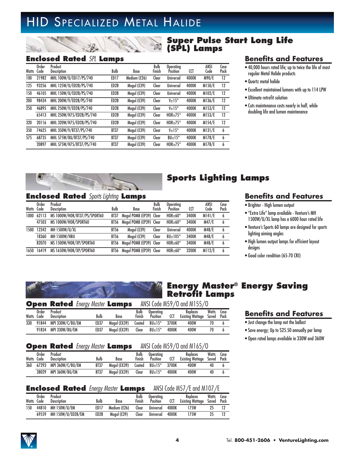# HID SPECIALIZED METAL HALIDE

### **Super Pulse Start Long Life (SPL) Lamps**

**Sports Lighting Lamps**

### **Enclosed Rated** SPL **Lamps**

| <b>Watts</b> | Order<br>Code | Product<br><b>Description</b> | Bulb             | Base         | Bulb<br>Finish | Operatina<br>Position | CCT   | ANSI<br>Code | Case<br>Pack |
|--------------|---------------|-------------------------------|------------------|--------------|----------------|-----------------------|-------|--------------|--------------|
| 100          | 21982         | MHL 100W/U/ED17/PS/740        | ED17             | Medium (E26) | Clear          | Universal             | 4000K | M90/E        | 12           |
| 125          | 93256         | MHL 125W/U/ED28/PS/740        | ED <sub>28</sub> | Mogul (E39)  | Clear          | Universal             | 4000K | M150/E       | 12           |
| 150          | 46105         | MHL 150W/U/ED28/PS/740        | ED <sub>28</sub> | Mogul (E39)  | Clear          | Universal             | 4000K | M102/E       | 12           |
| 200          | 98434         | MHL 200W/V/ED28/PS/740        | ED <sub>28</sub> | Mogul (E39)  | Clear          | $V_{\pm}$ 15°         | 4000K | M136/E       | 12           |
| 250          | 46895         | MHL 250W/V/ED28/PS/740        | ED <sub>28</sub> | Mogul (E39)  | Clear          | $V_{\pm}$ 15°         | 4000K | M153/E       | 12           |
|              | 65413         | MHL 250W/H75/ED28/PS/740      | ED <sub>28</sub> | Mogul (E39)  | Clear          | $HOR±75^\circ$        | 4000K | M153/E       | 12           |
| 320          | 20116         | MHL 320W/H75/ED28/PS/740      | ED <sub>28</sub> | Mogul (E39)  | Clear          | $HOR \pm 75^{\circ}$  | 4000K | M154/E       | 12           |
| 350          | 74625         | MHL 350W/V/BT37/PS/740        | <b>BT37</b>      | Mogul (E39)  | Clear          | $V_{\pm}$ 15°         | 4000K | M131/E       | 6            |
| 575          | 68735         | MHL 575W/BU/BT37/PS/740       | <b>BT37</b>      | Mogul (E39)  | Clear          | $BU±15^\circ$         | 4000K | M178/E       | 6            |
|              | 20897         | MHL 575W/H75/BT37/PS/740      | <b>BT37</b>      | Mogul (E39)  | Clear          | $HOR \pm 75^{\circ}$  | 4000K | M178/E       | 6            |

### **Benefits and Features**

- 40,000 hours rated life; up to twice the life of most regular Metal Halide products
- Quartz metal halide
- Excellent maintained lumens with up to 114 LPW
- Ultimate retrofit solution
- Cuts maintenance costs nearly in half, while doubling life and lumen maintenance

### **Enclosed Rated** Sports Lighting **Lamps**

| Watts | Order<br>Code | Product<br><b>Description</b> | Bulb        | Base                    | Bulb<br>Finish | Operating<br>Position | CCT   | ANSI<br>Code | Case<br>Pack |
|-------|---------------|-------------------------------|-------------|-------------------------|----------------|-----------------------|-------|--------------|--------------|
| 1000  | 62113         | MS 1000W/HOR/BT37/PS/SPORT60  | BT37        | Mogul POMB (EP39) Clear |                | $HOR±60^{\circ}$      | 3400K | M141/E       | 6            |
|       | 47503         | MS 1000W/HOR/SPORT60          | BT56        | Mogul POMB (EP39) Clear |                | $HOR±60^{\circ}$      | 3400K | M47/E        | 6            |
| 1500  | 12342         | MH 1500W/U/XL                 | <b>BT56</b> | Mogul (E39)             | Clear          | <b>Universal</b>      | 4000K | M48/E        | 6            |
|       | 18360         | <b>MH 1500W/HBU</b>           | <b>BT56</b> | Mogul (E39)             | Clear          | $BU±105^{\circ}$      | 3400K | M48/E        | 6            |
|       | 82070         | MS 1500W/HOR/XP/SPORT60       | <b>BT56</b> | Mogul POMB (EP39) Clear |                | $HOR±60^{\circ}$      | 3400K | M48/E        | 6            |
| 1650  | 16419         | MS 1650W/HOR/XP/SPORT60       | <b>BT56</b> | Mogul POMB (EP39) Clear |                | $HOR±60^{\circ}$      | 3200K | M112/E       | 6            |

### **Benefits and Features**

- Brighter High lumen output
- "Extra Life" lamp available Venture's MH 1500W/U/XL lamp has a 6000 hour rated life
- Venture's Sports 60 lamps are designed for sports lighting aiming angles
- High lumen output lamps for efficient layout designs
- Good color rendition (65-70 CRI)



### **Energy Master® Energy Saving Retrofit Lamps**

#### **Open Rated** Energy Master **Lamps** ANSI Code M59/O and M155/O 91844 MPI 330W/C/BU/EM 6D37 Moqul (EX39) Coated BU $\pm$ 15° 3700K 400W 70 6 Watts Code Order **Product Description Watts** Saved **Case** Pack Bulb Base Bulb Finish **Operating** Position CCT Mogul (EX39) **Replaces** Existing Wattage 400W 400W

|  | 91834 MPI 330W/BU/EM             |  | ED37 Mogul (EX39) Clear $BU_{\pm}15^{\circ}$ 4000K |  | 400W                                       |  |
|--|----------------------------------|--|----------------------------------------------------|--|--------------------------------------------|--|
|  |                                  |  |                                                    |  |                                            |  |
|  | Angel Belge Lucas Martin Letters |  |                                                    |  | $MICLC_{old} MLO/\Omega_{end} M1/L/\Omega$ |  |

|     |       |                                   | <b>Upen Rated Charlot Lamps</b> |              |                |                              |       | ANDI LOUB MOY/U UNU MILOO/U             |       |      |
|-----|-------|-----------------------------------|---------------------------------|--------------|----------------|------------------------------|-------|-----------------------------------------|-------|------|
|     | Order | Product<br>Watts Code Description | Bulb                            | Base         | Bulb<br>Finish | Operating<br><b>Position</b> | CCT   | Replaces<br>Existing Wattage Saved Pack | Watts | Case |
| 360 |       | 67293 MPI 360W/C/BU/EM            | <b>BT37</b>                     | Moaul (EX39) |                | Coated $BU \pm 15^{\circ}$   | 3700K | 400W                                    | 40    |      |
|     | 38029 | MPI 360W/BU/EM                    | <b>BT37</b>                     | Moaul (EX39) | Clear          | $BU±15^{\circ}$              | 4000K | 400W                                    | 40    |      |

### **Enclosed Rated** Energy Master **Lamps** ANSI Code M57/E and M107/E

| Watts | Order<br>Code | Product<br>Description | Bulb             | Base         | Bulb<br>Finish | Operatina<br><b>Position</b> | CCT   | <b>Replaces</b><br><b>Existing Wattage</b> | <b>Watts</b><br>Saved | Case<br>Pack |
|-------|---------------|------------------------|------------------|--------------|----------------|------------------------------|-------|--------------------------------------------|-----------------------|--------------|
| 150   | 44810         | MH 150W/U/EM           | ED17             | Medium (E26) | Clear          | Universal                    | 4000K | 175W                                       |                       |              |
|       | 69559         | MH 150W/U/ED28/EM      | ED <sub>28</sub> | Moaul (E39)  | Clear          | Universal                    | 4000K | 175W                                       |                       |              |

### **Benefits and Features**

- Just change the lamp not the ballast
- Save energy; Up to \$25.50 annually per lamp
- Open rated lamps available in 330W and 360W



330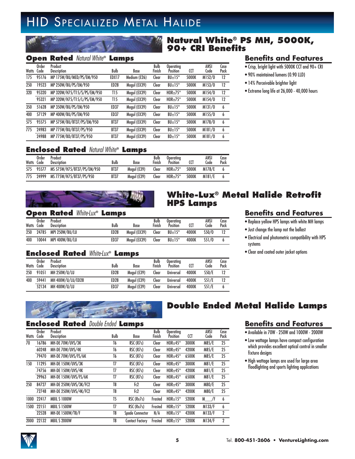# HID SPECIALIZED METAL HALIDE

### **Natural White® PS MH, 5000K, 90+ CRI Benefits**

### **Open Rated** Natural White® **Lamps**

| Watts | Order<br>Code | Product<br><b>Description</b> | Bulb             | Base         | Bulb<br>Finish | <b>Operatina</b><br>Position | CCT   | ANSI<br>Code | Case<br>Pack |
|-------|---------------|-------------------------------|------------------|--------------|----------------|------------------------------|-------|--------------|--------------|
| 175   | 95176         | MP 175W/BU/MED/PS/EM/950      | EDX17            | Medium (E26) | Clear          | $BU±15^\circ$                | 5000K | M152/0       | 12           |
| 250   | 19523         | MP 250W/BU/PS/EM/950          | ED <sub>28</sub> | Mogul (EX39) | Clear          | $BU±15^\circ$                | 5000K | M153/0       | 12           |
| 320   | 95320         | MP 320W/H75/T15/S/PS/EM/950   | T15              | Mogul (EX39) | Clear          | $HOR±75^\circ$               | 5000K | M154/0       | 12           |
|       | 95321         | MP 320W/H75/T15/L/PS/EM/950   | T15              | Mogul (EX39) | Clear          | $HOR±75^{\circ}$             | 5000K | M154/0       | 12           |
| 350   | 51628         | MP 350W/BU/PS/EM/950          | ED37             | Mogul (EX39) | Clear          | $BU±15^\circ$                | 5000K | M131/0       | 6            |
| 400   | 57129         | MP 400W/BU/PS/EM/950          | ED37             | Mogul (EX39) | Clear          | $BU±15^\circ$                | 5000K | M155/0       | 6            |
| 575   | 95575         | MP 575W/BU/BT37/PS/EM/950     | <b>BT37</b>      | Mogul (EX39) | Clear          | $BU±15^\circ$                | 5000K | M178/0       | 6            |
| 775   | 24983         | MP 775W/BU/BT37/PS/950        | <b>BT37</b>      | Mogul (EX39) | Clear          | $BU±15^{\circ}$              | 5000K | M181/0       | 6            |
|       | 24988         | MP 775W/BD/BT37/PS/950        | <b>BT37</b>      | Mogul (EX39) | Clear          | $BD \pm 15^{\circ}$          | 5000K | M181/0       | 6            |

### **Benefits and Features**

- Crisp, bright light with 5000K CCT and 90+ CRI
- 90% maintained lumens (0.90 LLD)
- 14% Perceivable brighter light
- Extreme long life at 26,000 40,000 hours

### **Enclosed Rated** Natural White® **Lamps**

| Watts | Order<br>Code | Product<br><b>Description</b> | Bulb        | Base        | Bulb<br>Finish | <b>Operatina</b><br>Position | ٢ſ    | ANSI<br>Code  | Lase<br>Pack |
|-------|---------------|-------------------------------|-------------|-------------|----------------|------------------------------|-------|---------------|--------------|
| 575   | 95577         | MS 575W/H75/BT37/PS/EM/950    | <b>BT37</b> | Moaul (E39) | <b>Clear</b>   | $HOR{\pm}75^{\circ}$         | 5000K | <b>M178/E</b> |              |
| 775   | 24999         | MS 775W/H75/BT37/PS/950       | <b>BT37</b> | Moaul (E39) | Clear          | $HOR±75^{\circ}$             | 5000K | M181/E        |              |

### **White-Lux® Metal Halide Retrofit HPS Lamps**

### **Open Rated** White-Lux® **Lamps**

| Watts | Order<br>Code | Product<br><b>Description</b> | Bulb             | <b>Base</b>  | Bulb<br>Finish | Operatina<br>Position | ແ     | ANSI<br>Code | Case<br>Pack |
|-------|---------------|-------------------------------|------------------|--------------|----------------|-----------------------|-------|--------------|--------------|
| 250   | 24785         | MPI 250W/BU/LU                | ED <sub>28</sub> | Mogul (EX39) | Clear          | $BU±15^\circ$         | 4000K | \$50/0       |              |
| 400   | 10044         | MPI 400W/BU/LU                | ED37             | Mogul (EX39) | Clear          | $BU±15^\circ$         | 4000K | \$51/0       |              |

### **Enclosed Rated** White-Lux® **Lamps**

| Watts | Order<br>Code | Product<br><b>Description</b> | Bulb             | Base        | Bulb<br>Finish | <b>Operating</b><br>Position | <b>CCT</b> | ANSI<br>Code | Case<br>Pack |
|-------|---------------|-------------------------------|------------------|-------------|----------------|------------------------------|------------|--------------|--------------|
| 250   | 91051         | MH 250W/U/LU                  | ED <sub>28</sub> | Moaul (E39) | Clear          | Universal                    | 4000K      | S50/E        | 12           |
| 400   | 59441         | MH 400W/U/LU/ED28             | ED <sub>28</sub> | Moaul (E39) | Clear          | <b>Universal</b>             | 4000K      | S51/E        | 12           |
|       | 52134         | MH 400W/U/LU                  | ED37             | Moaul (E39) | Clear          | <b>Universal</b>             | 4000K      | S51/E        |              |

### **Benefits and Features**

- Replace yellow HPS lamps with white MH lamps
- Just change the lamp not the ballast
- Electrical and photometric compatibility with HPS systems
- Clear and coated outer jacket options



### **Enclosed Rated** Double Ended **Lamps**

| Watts | <b>Order</b><br>Code | Product<br><b>Description</b> | Bulb           | <b>Base</b>            | Bulb<br>Finish | <b>Operatina</b><br><b>Position</b> | CCT   | ANSI<br>Code | Case<br>Pack |
|-------|----------------------|-------------------------------|----------------|------------------------|----------------|-------------------------------------|-------|--------------|--------------|
| 70    | 16786                | MH-DE 70W/UVS/3K              | T6             | RSC (R7s)              | Clear          | $HOR±45^{\circ}$                    | 3000K | M85/E        | 25           |
|       | 60248                | MH-DE 70W/UVS/4K              | T6             | RSC (R7s)              | Clear          | $HOR±45^{\circ}$                    | 4200K | M85/E        | 25           |
|       | 79470                | MH-DE 70W/UVS/FS/6K           | T6             | RSC (R7s)              | Clear          | $HOR+45^{\circ}$                    | 6500K | M85/E        | 25           |
| 150   | 11295                | MH-DE 150W/UVS/3K             | T7             | RSC (R7s)              | Clear          | $HOR±45^\circ$                      | 3000K | M81/E        | 25           |
|       | 74756                | <b>MH-DE 150W/UVS/4K</b>      | T7             | RSC (R7s)              | Clear          | $HOR±45^\circ$                      | 4200K | M81/E        | 25           |
|       | 29963                | MH-DE 150W/UVS/FS/6K          | T7             | RSC (R7s)              | Clear          | $HOR+45^{\circ}$                    | 6500K | M81/E        | 25           |
| 250   | 84727                | MH-DE 250W/UVS/3K/FC2         | T8             | Fc <sub>2</sub>        | Clear          | $HOR+45^{\circ}$                    | 3000K | M80/E        | 25           |
|       | 72748                | MH-DE 250W/UVS/4K/FC2         | T8             | Fc2                    | Clear          | $HOR±45^\circ$                      | 4200K | M80/E        | 25           |
| 1000  | 22417                | <b>MBIL S 1000W</b>           | T <sub>5</sub> | RSC (Rx7s)             | Frosted        | $HOR \pm 15^{\circ}$                | 5200K | M<br>/F      | 6            |
| 1500  | 22151                | <b>MBIL S 1500W</b>           | T7             | RSC (Rx7s)             | Frosted        | $HOR±15^{\circ}$                    | 5200K | M133/F       | 6            |
|       | 22528                | MH-DE 1500W/T8/F              | T8             | <b>Spade Connector</b> | N/A            | $HOR + 15^{\circ}$                  | 4200K | M133/F       | $\mathbf{2}$ |
| 2000  | 22132                | <b>MBIL S 2000W</b>           | T8             | <b>Contact Factory</b> | Frosted        | $HOR±15^\circ$                      | 5200K | M134/F       | 2            |

## **Double Ended Metal Halide Lamps**

### **Benefits and Features**

- Available in 70W 250W and 1000W 2000W
- Low wattage lamps have compact configuration which provides excellent optical control in smaller fixture designs
- High wattage lamps are used for large area floodlighting and sports lighting applications

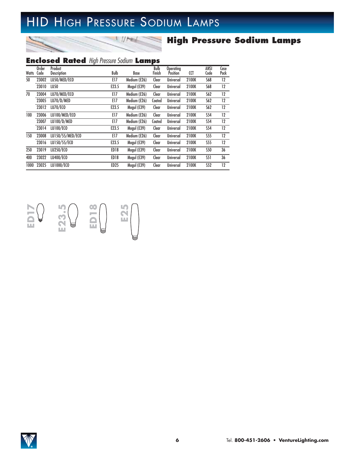# HID HIGH PRESSURE SODIUM LAMPS

 $1/7$ 

s

### **High Pressure Sodium Lamps**

### **Enclosed Rated** High Pressure Sodium **Lamps**

|       | <b>Order</b> | Product            |                  |              | Bulb   | Operating        |       | ANSI       | Case    |
|-------|--------------|--------------------|------------------|--------------|--------|------------------|-------|------------|---------|
| Watts | Code         | <b>Description</b> | Bulb             | Base         | Finish | Position         | CCT   | Code       | Pack    |
| 50    | 23002        | LU50/MED/ECO       | E17              | Medium (E26) | Clear  | <b>Universal</b> | 2100K | S68        | $12 \,$ |
|       | 23010        | LU50               | E23.5            | Mogul (E39)  | Clear  | <b>Universal</b> | 2100K | S68        | 12      |
| 70    | 23004        | LU70/MED/ECO       | E17              | Medium (E26) | Clear  | <b>Universal</b> | 2100K | S62        | 12      |
|       | 23005        | LU70/D/MED         | E17              | Medium (E26) | Coated | <b>Universal</b> | 2100K | S62        | 12      |
|       | 23012        | LU70/ECO           | E23.5            | Mogul (E39)  | Clear  | <b>Universal</b> | 2100K | S62        | $12 \,$ |
| 100   | 23006        | LU100/MED/ECO      | E17              | Medium (E26) | Clear  | <b>Universal</b> | 2100K | <b>S54</b> | 12      |
|       | 23007        | LU100/D/MED        | E17              | Medium (E26) | Coated | <b>Universal</b> | 2100K | S54        | $12 \,$ |
|       | 23014        | LU100/ECO          | E23.5            | Mogul (E39)  | Clear  | <b>Universal</b> | 2100K | S54        | 12      |
| 150   | 23008        | LU150/55/MED/ECO   | E17              | Medium (E26) | Clear  | <b>Universal</b> | 2100K | S55        | 12      |
|       | 23016        | LU150/55/ECO       | E23.5            | Mogul (E39)  | Clear  | <b>Universal</b> | 2100K | S55        | 12      |
| 250   | 23019        | LU250/ECO          | ED <sub>18</sub> | Mogul (E39)  | Clear  | <b>Universal</b> | 2100K | <b>S50</b> | 36      |
| 400   | 23022        | LU400/ECO          | ED <sub>18</sub> | Mogul (E39)  | Clear  | <b>Universal</b> | 2100K | <b>S51</b> | 36      |
| 1000  | 23025        | LU1000/ECO         | ED <sub>25</sub> | Mogul (E39)  | Clear  | <b>Universal</b> | 2100K | S52        | 12      |



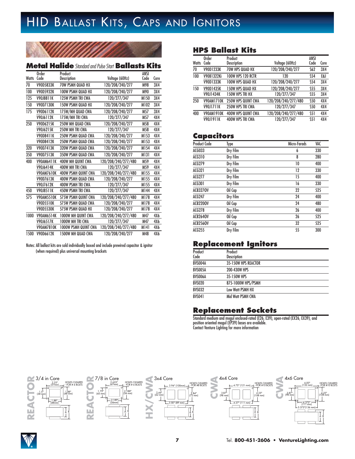# HID BALLAST KITS, CAPS AND IGNITORS



### **Metal Halide**Standard and Pulse Start **Ballasts Kits**

|              | Order             | Product                     |                     | ANSI |      |
|--------------|-------------------|-----------------------------|---------------------|------|------|
| <b>Watts</b> | Code              | Description                 | Voltage (60Hz)      | Code | Core |
| 70           | <b>V90D5833K</b>  | <b>70W PSMH QUAD HX</b>     | 120/208/240/277     | M98  | 3X4  |
| 100          | V90D5932K         | <b>100W PSMH QUAD HX</b>    | 120/208/240/277     | M90  | 3X4  |
| 125          | <b>V90J8811K</b>  | <b>125W PSMH TRI CWA</b>    | 120/277/347         | M150 | 3X4  |
| 150          | V90D7130K         | <b>150W PSMH QUAD HX</b>    | 120/208/240/277     | M102 | 3X4  |
| 175          | V90D6112K         | 175W/MH QUAD CWA            | 120/208/240/277     | M57  | 3X4  |
|              | V90J6112K         | 175W/MH TRI CWA             | 120/277/347         | M57  | 4X4  |
| 250          | V90D6215K         | 250W MH QUAD CWA            | 120/208/240/277     | M58  | 4X4  |
|              | V90J6215K         | 250W MH TRI CWA             | 120/277/347         | M58  | 4X4  |
|              | V90D8411K         | <b>250W PSMH QUAD CWA</b>   | 120/208/240/277     | M153 | 4X4  |
|              | V90D8412K         | <b>250W PSMH QUAD CWA</b>   | 120/208/240/277     | M153 | 4X4  |
| 320          | V90D7413K         | <b>320W PSMH QUAD CWA</b>   | 120/208/240/277     | M154 | 4X4  |
| 350          | V90D7513K         | 350W PSMH QUAD CWA          | 120/208/240/277     | M131 | 4X4  |
| 400          | <b>V90AM6411K</b> | <b>400W MH QUINT CWA</b>    | 120/208/240/277/480 | M59  | 4X4  |
|              | V90J6414K         | 400W MH TRI CWA             | 120/277/347         | M59  | 4X4  |
|              | <b>V90AM7610K</b> | <b>400W PSMH QUINT CWA</b>  | 120/208/240/277/480 | M155 | 4X4  |
|              | V90D7613K         | 400W PSMH QUAD CWA          | 120/208/240/277     | M155 | 4X4  |
|              | V90J7612K         | <b>400W PSMH TRI CWA</b>    | 120/277/347         | M155 | 4X4  |
| 450          | <b>V90J8511K</b>  | <b>450W PSMH TRI CWA</b>    | 120/277/347         | M144 | 4X4  |
| 575          | <b>V90AM5510K</b> | <b>575W PSMH QUINT CWA</b>  | 120/208/240/277/480 | M178 | 4X4  |
|              | <b>V90D5510K</b>  | 575W PSMH QUAD CWA          | 120/208/240/277     | M178 | 4X4  |
|              | V90D5530K         | 575W PSMH QUAD HX           | 120/208/240/277     | M178 | 4X4  |
| 1000         | <b>V90AM6514K</b> | <b>1000W MH QUINT CWA</b>   | 120/208/240/277/480 | M47  | 4X6  |
|              | V90J6517K         | <b>1000W MH TRI CWA</b>     | 120/277/347         | M47  | 4X6  |
|              | <b>V90AM7810K</b> | <b>1000W PSMH QUINT CWA</b> | 120/208/240/277/480 | M141 | 4X6  |
| 1500         | V90D6612K         | <b>1500W MH QUAD CWA</b>    | 120/208/240/277     | M48  | 4X6  |

Notes: All ballast kits are sold individually boxed and include prewired capacitor & ignitor (when required) plus universal mounting brackets

### **HPS Ballast Kits**

| <b>Watts</b> | <b>Order</b><br>Code | Product<br><b>Description</b> | Voltage (60Hz)      | ANSI<br>Code | Core |
|--------------|----------------------|-------------------------------|---------------------|--------------|------|
| 70           | V90D1233K            | 70W HPS QUAD HX               | 120/208/240/277     | <b>S62</b>   | 3X4  |
| 100          | V90B1322Ki           | <b>100W HPS 120 RCTR</b>      | 120                 | <b>S54</b>   | E&I  |
|              | V90D1333K            | <b>100W HPS QUAD HX</b>       | 120/208/240/277     | <b>S54</b>   | 3X4  |
| 150          | V90D1435K            | <b>150W HPS QUAD HX</b>       | 120/208/240/277     | <b>S55</b>   | 3X4  |
|              | V90J1434K            | <b>150W HPS TRI HX</b>        | 120/277/347         | <b>S55</b>   | 3X4  |
| 250          | V90AM1710K           | <b>250W HPS QUINT CWA</b>     | 120/208/240/277/480 | <b>S50</b>   | 4X4  |
|              | <b>V90J1711K</b>     | 250W HPS TRI CWA              | 120/277/347         | S50          | 4X4  |
| 400          | V90AM1910K           | 400W HPS QUINT CWA            | 120/208/240/277/480 | <b>S51</b>   | 4X4  |
|              | V90J1911K            | 400W HPS TRI CWA              | 120/277/347         | <b>S51</b>   | 4X4  |

### **Capacitors**

| <b>Product Code</b> | Type     | Micro-Farads | VAC |
|---------------------|----------|--------------|-----|
| ACG033              | Dry Film | 6            | 330 |
| ACG310              | Dry Film | 8            | 280 |
| ACG279              | Dry Film | 10           | 400 |
| ACG321              | Dry Film | 12           | 330 |
| ACG277              | Dry Film | 15           | 400 |
| ACG301              | Dry Film | 16           | 330 |
| <b>ACB3270V</b>     | Oil Cap  | 22           | 525 |
| <b>ACG247</b>       | Dry Film | 24           | 400 |
| <b>ACB220OV</b>     | Oil Cap  | 24           | 480 |
| <b>ACG278</b>       | Dry Film | 26           | 400 |
| <b>ACB264OV</b>     | Oil Cap  | 26           | 525 |
| <b>ACB256OV</b>     | Oil Cap  | 32           | 525 |
| ACG255              | Dry Film | 55           | 300 |

### **Replacement Ignitors**

| Product<br>Code | Product<br><b>Description</b> |
|-----------------|-------------------------------|
| BVS004A         | 35-150W HPS REACTOR           |
| BVS005A         | 200-430W HPS                  |
| BVS006A         | 35-150W HPS                   |
| <b>BVS020</b>   | 875-1000W HPS/PSMH            |
| <b>BVS032</b>   | Low Watt PSMH HX              |
| <b>BVS041</b>   | Mid Watt PSMH CWA             |

### **Replacement Sockets**

Standard medium and mogul enclosed-rated (E26, E39), open-rated (EX26, EX39), and position oriented mogul (EP39) bases are available. Contact Venture Lighting for more information



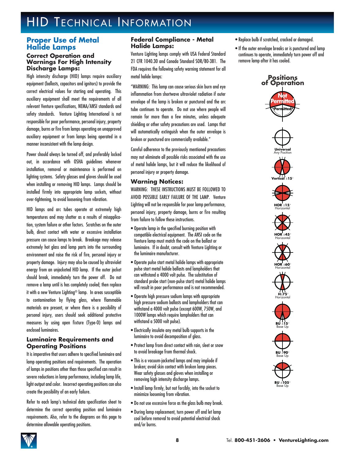### **Proper Use of Metal Halide Lamps**

#### **Correct Operation and Warnings For High Intensity Discharge Lamps:**

High intensity discharge (HID) lamps require auxiliary equipment (ballasts, capacitors and ignitors) to provide the correct electrical values for starting and operating. This auxiliary equipment shall meet the requirements of all relevant Venture specifications, NEMA/ANSI standards and safety standards. Venture Lighting International is not responsible for poor performance, personal injury, property damage, burns or fire from lamps operating on unapproved auxiliary equipment or from lamps being operated in a manner inconsistent with the lamp design.

Power should always be turned off, and preferably locked out, in accordance with OSHA guidelines whenever installation, removal or maintenance is performed on lighting systems. Safety glasses and gloves should be used when installing or removing HID lamps. Lamps should be installed firmly into appropriate lamp sockets, without over-tightening, to avoid loosening from vibration.

HID lamps and arc tubes operate at extremely high temperatures and may shatter as a results of misapplication, system failure or other factors. Scratches on the outer bulb, direct contact with water or excessive installation pressure can cause lamps to break. Breakage may release extremely hot glass and lamp parts into the surrounding environment and raise the risk of fire, personal injury or property damage. Injury may also be caused by ultraviolet energy from an unjacketed HID lamp. If the outer jacket should break, immediately turn the power off. Do not remove a lamp until is has completely cooled; then replace it with a new Venture Lighting® lamp. In areas susceptible to contamination by flying glass, where flammable materials are present, or where there is a possibility of personal injury, users should seek additional protective measures by using open fixture (Type-O) lamps and enclosed luminaires.

### **Luminaire Requirements and Operating Positions**

It is imperative that users adhere to specified luminaire and lamp operating positions and requirements. The operation of lamps in positions other than those specified can result in severe reductions in lamp performance, including lamp life, light output and color. Incorrect operating positions can also create the possibility of an early failure.

Refer to each lamp's technical data specification sheet to determine the correct operating position and luminaire requirements. Also, refer to the diagrams on this page to determine allowable operating positions.

### **Federal Compliance - Metal Halide Lamps:**

Venture Lighting lamps comply with USA Federal Standard 21 CFR 1040.30 and Canada Standard SOR/80-381. The FDA requires the following safety warning statement for all metal halide lamps:

"WARNING: This lamp can cause serious skin burn and eye inflammation from shortwave ultraviolet radiation if outer envelope of the lamp is broken or punctured and the arc tube continues to operate. Do not use where people will remain for more than a few minutes, unless adequate shielding or other safety precautions are used. Lamps that will automatically extinguish when the outer envelope is broken or punctured are commercially available."

Careful adherence to the previously mentioned precautions may not eliminate all possible risks associated with the use of metal halide lamps, but it will reduce the likelihood of personal injury or property damage.

### **Warning Notices:**

WARNING: THESE INSTRUCTIONS MUST BE FOLLOWED TO AVOID POSSIBLE EARLY FAILURE OF THE LAMP. Venture Lighting will not be responsible for poor lamp performance, personal injury, property damage, burns or fire resulting from failure to follow these instructions.

- Operate lamp in the specified burning position with compatible electrical equipment. The ANSI code on the Venture lamp must match the code on the ballast or luminaire. If in doubt, consult with Venture Lighting or the luminaire manufacturer.
- Operate pulse start metal halide lamps with appropriate pulse start metal halide ballasts and lampholders that can withstand a 4000 volt pulse. The substitution of standard probe start (non-pulse start) metal halide lamps will result in poor performance and is not recommended.
- Operate high pressure sodium lamps with appropriate high pressure sodium ballasts and lampholders that can withstand a 4000 volt pulse (except 600W, 750W, and 1000W lamps which require lampholders that can withstand a 5000 volt pulse).
- Electrically insulate any metal bulb supports in the luminaire to avoid decomposition of glass.
- Protect lamp from direct contact with rain, sleet or snow to avoid breakage from thermal shock.
- This is a vacuum-jacketed lamps and may implode if broken; avoid skin contact with broken lamp pieces. Wear safety glasses and gloves when installing or removing high intensity discharge lamps.
- Install lamp firmly, but not forcibly, into the socket to minimize loosening from vibration.
- Do not use excessive force as the glass bulb may break.
- During lamp replacement, turn power off and let lamp cool before removal to avoid potential electrical shock and/or burns.
- Replace bulb if scratched, cracked or damaged.
- If the outer envelope breaks or is punctured and lamp continues to operate, immediately turn power off and remove lamp after it has cooled.

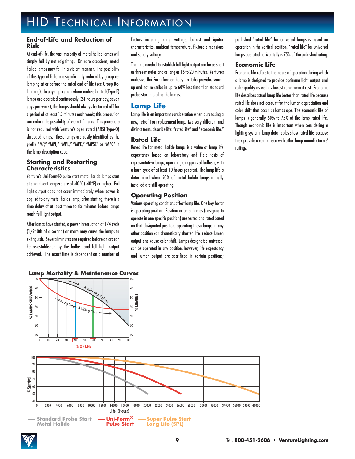### **End-of-Life and Reduction of Risk**

At end-of-life, the vast majority of metal halide lamps will simply fail by not reigniting. On rare occasions, metal halide lamps may fail in a violent manner. The possibility of this type of failure is significantly reduced by group relamping at or before the rated end of life (see Group Relamping). In any application where enclosed rated (Type-E) lamps are operated continuously (24 hours per day, seven days per week), the lamps should always be turned off for a period of at least 15 minutes each week; this precaution can reduce the possibility of violent failures. This procedure is not required with Venture's open rated (ANSI Type-O) shrouded lamps. These lamps are easily identified by the prefix "MP," "MPI," "MPL," "MPE," "MPSE" or "MPC" in the lamp description code.

### **Starting and Restarting Characteristics**

Venture's Uni-Form® pulse start metal halide lamps start at an ambient temperature of -40°C (-40°F) or higher. Full light output does not occur immediately when power is applied to any metal halide lamp; after starting, there is a time delay of at least three to six minutes before lamps reach full light output.

After lamps have started, a power interruption of 1/4 cycle (1/240th of a second) or more may cause the lamps to extinguish. Several minutes are required before an arc can be re-established by the ballast and full light output achieved. The exact time is dependent on a number of

**Lamp Mortality & Maintenance Curves** 

factors including lamp wattage, ballast and ignitor characteristics, ambient temperature, fixture dimensions and supply voltage.

The time needed to establish full light output can be as short as three minutes and as long as 15 to 20 minutes. Venture's exclusive Uni-Form formed-body arc tube provides warmup and hot re-strike in up to 60% less time than standard probe start metal halide lamps.

### **Lamp Life**

Lamp life is an important consideration when purchasing a new, retrofit or replacement lamp. Two very different and distinct terms describe life: "rated life" and "economic life."

### **Rated Life**

Rated life for metal halide lamps is a value of lamp life expectancy based on laboratory and field tests of representative lamps, operating on approved ballasts, with a burn cycle of at least 10 hours per start. The lamp life is determined when 50% of metal halide lamps initially installed are still operating

### **Operating Position**

Various operating conditions affect lamp life. One key factor is operating position. Position-oriented lamps (designed to operate in one specific position) are tested and rated based on that designated position; operating these lamps in any other position can dramatically shorten life, reduce lumen output and cause color shift. Lamps designated universal can be operated in any position, however, life expectancy and lumen output are sacrificed in certain positions;

published "rated life" for universal lamps is based on operation in the vertical position, "rated life" for universal lamps operated horizontally is 75% of the published rating.

#### **Economic Life**

Economic life refers to the hours of operation during which a lamp is designed to provide optimum light output and color quality as well as lowest replacement cost. Economic life describes actual lamp life better than rated life because rated life does not account for the lumen depreciation and color shift that occur as lamps age. The economic life of lamps is generally 60% to 75% of the lamp rated life. Though economic life is important when considering a lighting system, lamp data tables show rated life because they provide a comparison with other lamp manufacturers' ratings.

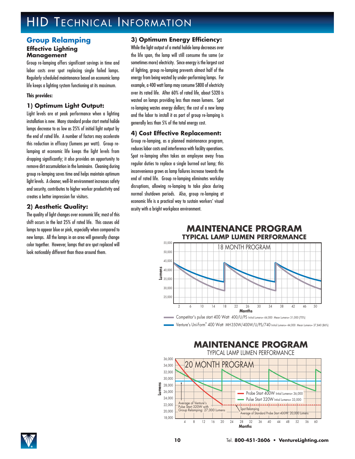### **Group Relamping Effective Lighting Management**

Group re-lamping offers significant savings in time and labor costs over spot replacing single failed lamps. Regularly scheduled maintenance based on economic lamp life keeps a lighting system functioning at its maximum.

#### **This provides:**

### **1) Optimum Light Output:**

Light levels are at peak performance when a lighting installation is new. Many standard probe start metal halide lamps decrease to as low as 25% of initial light output by the end of rated life. A number of factors may accelerate this reduction in efficacy (lumens per watt). Group relamping at economic life keeps the light levels from dropping significantly; it also provides an opportunity to remove dirt accumulation in the luminaire. Cleaning during group re-lamping saves time and helps maintain optimum light levels. A cleaner, well-lit environment increases safety and security, contributes to higher worker productivity and creates a better impression for visitors.

### **2) Aesthetic Quality:**

The quality of light changes over economic life; most of this shift occurs in the last 25% of rated life. This causes old lamps to appear blue or pink, especially when compared to new lamps. All the lamps in an area will generally change color together. However, lamps that are spot replaced will look noticeably different than those around them.

### **3) Optimum Energy Efficiency:**

While the light output of a metal halide lamp decreases over the life span, the lamp will still consume the same (or sometimes more) electricity. Since energy is the largest cost of lighting, group re-lamping prevents almost half of the energy from being wasted by under-performing lamps. For example, a 400 watt lamp may consume \$800 of electricity over its rated life. After 60% of rated life, about \$320 is wasted on lamps providing less than mean lumens. Spot re-lamping wastes energy dollars; the cost of a new lamp and the labor to install it as part of group re-lamping is generally less than 5% of the total energy cost.

### **4) Cost Effective Replacement:**

Group re-lamping, as a planned maintenance program, reduces labor costs and interference with facility operations. Spot re-lamping often takes an employee away from regular duties to replace a single burned out lamp; this inconvenience grows as lamp failures increase towards the end of rated life. Group re-lamping eliminates workday disruptions, allowing re-lamping to take place during normal shutdown periods. Also, group re-lamping at economic life is a practical way to sustain workers' visual acuity with a bright workplace environment.



Venture's Uni-Form® 400 Watt MH 350W/400W/U/PS/740 Initial Lumens= 44,000 Mean Lumens= 37,840 (86%)



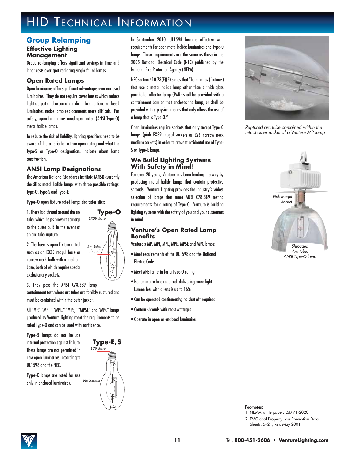### **Group Relamping**

#### **Effective Lighting Management**

Group re-lamping offers significant savings in time and labor costs over spot replacing single failed lamps.

### **Open Rated Lamps**

Open luminaires offer significant advantages over enclosed luminaires. They do not require cover lenses which reduce light output and accumulate dirt. In addition, enclosed luminaires make lamp replacements more difficult. For safety, open luminaires need open rated (ANSI Type-O) metal halide lamps.

To reduce the risk of liability, lighting specifiers need to be aware of the criteria for a true open rating and what the Type-S or Type-O designations indicate about lamp construction.

### **ANSI Lamp Designations**

The American National Standards Institute (ANSI) currently classifies metal halide lamps with three possible ratings: Type-O, Type-S and Type-E.

**Type-O** open fixture rated lamps characteristics:

1. There is a shroud around the arc tube, which helps prevent damage to the outer bulb in the event of an arc tube rupture.

2. The base is open fixture rated, such as an EX39 mogul base or narrow neck bulb with a medium base, both of which require special exclusionary sockets.

3. They pass the ANSI C78.389 lamp containment test, where arc tubes are forcibly ruptured and must be contained within the outer jacket.

All "MP," "MPI," "MPL," "MPE," "MPSE" and "MPC" lamps produced by Venture Lighting meet the requirements to be rated Type-O and can be used with confidence.

**Type-S** lamps do not include internal protection against failure. These lamps are not permitted in new open luminaires, according to UL1598 and the NEC.

**Type-E** lamps are rated for use only in enclosed luminaires.



**Type-O** EX39 Base

Arc Tube Shroud

In September 2010, UL1598 became effective with requirements for open metal halide luminaires and Type-O lamps. These requirements are the same as those in the 2005 National Electrical Code (NEC) published by the National Fire Protection Agency (NFPA).

NEC section 410.73(F)(5) states that "Luminaires (fixtures) that use a metal halide lamp other than a thick-glass parabolic reflector lamp (PAR) shall be provided with a containment barrier that encloses the lamp, or shall be provided with a physical means that only allows the use of a lamp that is Type-O."

Open luminaires require sockets that only accept Type-O lamps (pink EX39 mogul sockets or E26 narrow neck medium sockets) in order to prevent accidental use of Type-S or Type-E lamps.

### **We Build Lighting Systems With Safety in Mind!**

For over 20 years, Venture has been leading the way by producing metal halide lamps that contain protective shrouds. Venture Lighting provides the industry's widest selection of lamps that meet ANSI C78.389 testing requirements for a rating of Type-O. Venture is building lighting systems with the safety of you and your customers in mind.

### **Venture's Open Rated Lamp Benefits**

Venture's MP, MPI, MPL, MPE, MPSE and MPC lamps:

- Meet requirements of the UL1598 and the National Electric Code
- Meet ANSI criteria for a Type-O rating
- No luminaire lens required, delivering more light Lumen loss with a lens is up to 16%
- Can be operated continuously; no shut off required
- Contain shrouds with most wattages
- Operate in open or enclosed luminaires



Ruptured arc tube contained within the intact outer jacket of a Venture MP lamp



ANSI Type-O lamp

**Footnotes:**

1. NEMA white paper: LSD 71-2020

2. FMGlobal Property Loss Prevention Data Sheets, 5–21, Rev. May 2001.

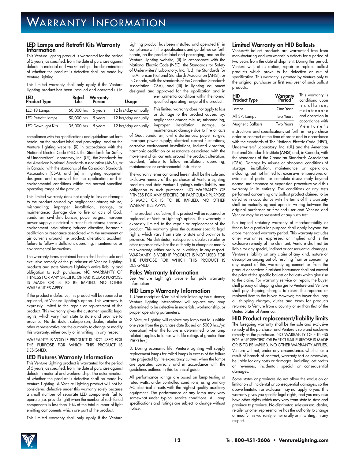#### **LED Lamps and Retrofit Kits Warranty Information**

This Venture lighting product is warranted for the period of 5 years, as specified, from the date of purchase against defects in material and workmanship. The determination of whether the product is defective shall be made by Venture Lighting.

This limited warranty shall only apply if the Venture Lighting product has been installed and operated (i) in

| LED<br>Product Type |                    | Rated Warranty<br>Life Period | <b>Usage</b>        |
|---------------------|--------------------|-------------------------------|---------------------|
| LED T8 Lamps        | 50,000 hrs 5 years |                               | 12 hrs/day annually |
| LED Retrofit Lamps  | 50,000 hrs 5 years |                               | 12 hrs/day annually |
| LED Downlight Kits  | 35,000 hrs 5 years |                               | 12 hrs/day annually |

compliance with the specifications and guidelines set forth herein, on the product label and packaging, and on the Venture Lighting website, (ii) in accordance with the National Electric Code (NEC), the Standards for Safety of Underwriters' Laboratory, Inc. (UL), the Standards for the American National Standards Association (ANSI), or in Canada, with the standards of the Canadian Standards Association (CSA), and (iii) in lighting equipment designed and approved for the application and in environmental conditions within the normal specified operating range of the product.

This limited warranty does not apply to loss or damage to the product caused by: negligence; abuse; misuse; mishandling; improper installation, storage, or maintenance; damage due to fire or acts of God; vandalism; civil disturbances; power surges; improper power supply; electrical current fluctuations; corrosive environment installations; induced vibration; harmonic oscillation or resonance associated with the movement of air currents around the product; alteration; accident; failure to follow installation, operating, maintenance or environmental instructions.

The warranty terms contained herein shall be the sole and exclusive remedy of the purchaser of Venture Lighting products and state Venture Lighting's entire liability and obligation to such purchaser. NO WARRANTY OF FITNESS FOR ANY SPECIFIC OR PARTICULAR PURPOSE IS MADE OR IS TO BE IMPLIED. NO OTHER WARRANTIES APPLY.

If the product is defective, this product will be repaired or replaced, at Venture Lighting's option. This warranty is expressly limited to the repair or replacement of the product. This warranty gives the customer specific legal rights, which vary from state to state and province to province. No distributor, salesperson, dealer, retailer or other representative has the authority to change or modify this warranty, either orally or in writing, in any respect.

WARRANTY IS VOID IF PRODUCT IS NOT USED FOR THE PURPOSE FOR WHICH THIS PRODUCT IS **DESIGNED.** 

#### **LED Fixtures Warranty Information**

This Venture Lighting product is warranted for the period of 5 years, as specified, from the date of purchase against defects in material and workmanship. The determination of whether the product is defective shall be made by Venture Lighting. A Venture Lighting product will not be considered defective under this warranty solely because a small number of separate LED components fail to operate (i.e. provide light) when the number of such failed components is less than 10% of the total number of light emitting components which are part of the product.

This limited warranty shall only apply if the Venture

Lighting product has been installed and operated (i) in compliance with the specifications and guidelines set forth herein, on the product label and packaging, and on the Venture Lighting website, (ii) in accordance with the National Electric Code (NEC), the Standards for Safety of Underwriters' Laboratory, Inc. (UL), the Standards for the American National Standards Association (ANSI), or in Canada, with the standards of the Canadian Standards Association (CSA), and (iii) in lighting equipment designed and approved for the application and in environmental conditions within the normal

specified operating range of the product. This limited warranty does not apply to loss or damage to the product caused by: negligence; abuse; misuse; mishandling;

improper installation, storage, or maintenance; damage due to fire or acts of God; vandalism; civil disturbances; power surges; improper power supply; electrical current fluctuations; corrosive environment installations; induced vibration; harmonic oscillation or resonance associated with the movement of air currents around the product; alteration; accident; failure to follow installation, operating, maintenance or environmental instructions.

The warranty terms contained herein shall be the sole and exclusive remedy of the purchaser of Venture Lighting products and state Venture Lighting's entire liability and obligation to such purchaser. NO WARRANTY OF FITNESS FOR ANY SPECIFIC OR PARTICULAR PURPOSE IS MADE OR IS TO BE IMPLIED. NO OTHER WARRANTIES APPLY.

If the product is defective, this product will be repaired or replaced, at Venture Lighting's option. This warranty is expressly limited to the repair or replacement of the product. This warranty gives the customer specific legal rights, which vary from state to state and province to province. No distributor, salesperson, dealer, retailer or other representative has the authority to change or modify this warranty, wither orally or in writing, in any respect. WARRANTY IS VOID IF PRODUCT IS NOT USED FOR THE PURPOSE FOR WHICH THIS PRODUCT IS **DESIGNED.** 

#### **Poles Warranty Information**

See Venture Lighting's website for pole warranty information

#### **HID Lamp Warranty Information**

1. Upon receipt and/or initial installation by the customer, Venture Lighting International will replace any lamp determined to be defective in materials, workmanship, or proper operating parameters.

2. Venture Lighting will replace any lamp that fails within one year from the purchase date (based on 5000 hrs./yr. operation) when the failure is determined to be lamp related (applies to lamps with life ratings of greater than 7500 hrs.).

3. During economic life, Venture Lighting will supply replacement lamps for failed lamps in excess of the failure rate projected by life expectancy curves, when the lamps are operated correctly and in accordance with the guidelines outlined in this technical guide.

All performance ratings are based on lamp testing at rated watts, under controlled conditions, using primary AC electrical circuits with the highest quality auxiliary equipment. The performance of any lamp may vary somewhat under typical service conditions. All lamp specifications and ratings are subject to change without notice.

#### **Limited Warranty on HID Ballasts**

Venture® ballast products are warrantied free from manufacturing and workmanship defects for a period of two years from the date of shipment. During this period, Venture will, at its option, repair or replace ballast products which prove to be defective or out of specification. This warranty is granted by Venture only to the original purchaser or first end-user of such ballast products.

| HID<br>Product Type | <b>Warranty</b><br>Period | This warranty is<br>conditional upon |  |  |
|---------------------|---------------------------|--------------------------------------|--|--|
| Lamps               | One Year                  | installation,<br>maintenance         |  |  |
| All SPL Lamps       | <b>Two Years</b>          | and operation in                     |  |  |
| Magnetic Ballasts   | <b>Two Years</b>          | accordance with<br>Venture's         |  |  |

instructions and specifications set forth in the purchase order or contract at the time of order and in accordance with the standards of The National Electric Code (NEC), Underwriters' Laboratory, Inc. (UL) and the American National Standards Institute (ANSI) and, in Canada, with the standards of the Canadian Standards Association (CSA). Damage by misuse or abnormal conditions of storage, installation, maintenance or operation, including, but not limited to, excessive temperatures or evidence of partial or complete disassembly beyond normal maintenance or expansion procedure void this warranty in its entirety. The conditions of any tests performed concerning any ballast product claimed to be defective in accordance with the terms of this warranty shall be mutually agreed upon in writing between the original purchaser or first end-user and Venture and Venture may be represented at any such test.

No implied statutory warranty of merchantability or fitness for a particular purpose shall apply beyond the afore-mentioned warranty period. This warranty excludes other warranties, expressed or implied and is the exclusive remedy of the claimant. Venture shall not be liable for any special, indirect or consequential damages. Venture's liability on any claim of any kind, nature or description arising out of, resulting from or concerning any aspect of this warranty agreement or from the product or services furnished hereunder shall not exceed the price of the specific ballast or ballasts which give rise to the claim. For warranty service or repair, the buyer shall prepay all shipping charges to Venture and Venture shall pay shipping charges to return the repaired or replaced item to the buyer. However, the buyer shall pay all shipping charges, duties and taxes for products returned to Venture from a country other than that of the United States of America.

#### **HID Product replacement/liability limits**

The foregoing warranty shall be the sole and exclusive remedy of the purchaser and Venture's sole and exclusive remedy to the purchaser. NO WARRANTY OF FITNESS FOR ANY SPECIFIC OR PARTICULAR PURPOSE IS MADE OR IS TO BE IMPLIED. NO OTHER WARRANTY APPLIES. Venture will not, under any circumstance, whether as a result of breach of contract, warranty tort or otherwise, be liable for any costs or damages, including lost profits or revenues, incidental, special or consequential damages.

Some states or provinces do not allow the exclusion or limitation of incidental or consequential damages, so the above limitation or exclusion may not apply to you. This warranty gives you specific legal rights, and you may also have other rights which may vary from state to state and province to province. No distributor, salesperson, dealer, retailer or other representative has the authority to change or modify this warranty, either orally or in writing, in any respect.

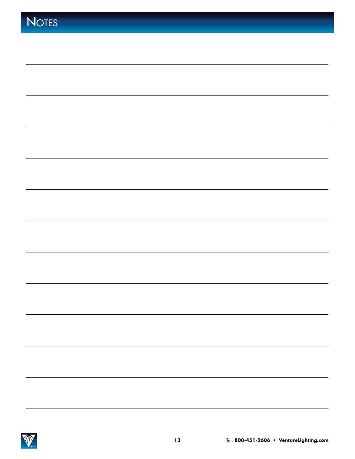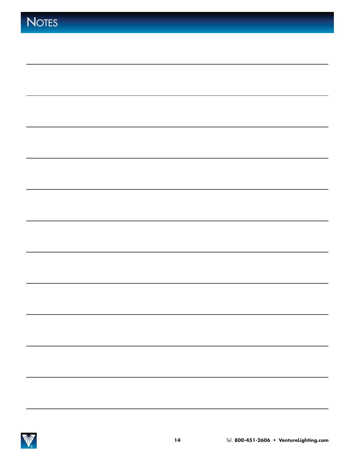